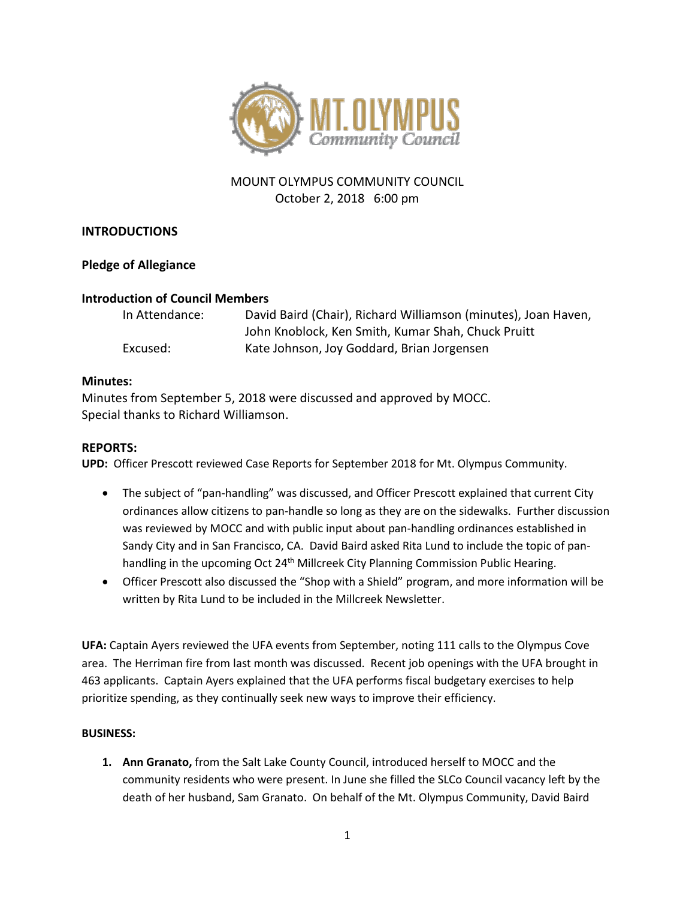

# MOUNT OLYMPUS COMMUNITY COUNCIL October 2, 2018 6:00 pm

# **INTRODUCTIONS**

## **Pledge of Allegiance**

## **Introduction of Council Members**

| In Attendance: | David Baird (Chair), Richard Williamson (minutes), Joan Haven, |
|----------------|----------------------------------------------------------------|
|                | John Knoblock, Ken Smith, Kumar Shah, Chuck Pruitt             |
| Excused:       | Kate Johnson, Joy Goddard, Brian Jorgensen                     |

#### **Minutes:**

Minutes from September 5, 2018 were discussed and approved by MOCC. Special thanks to Richard Williamson.

#### **REPORTS:**

**UPD:** Officer Prescott reviewed Case Reports for September 2018 for Mt. Olympus Community.

- The subject of "pan-handling" was discussed, and Officer Prescott explained that current City ordinances allow citizens to pan-handle so long as they are on the sidewalks. Further discussion was reviewed by MOCC and with public input about pan-handling ordinances established in Sandy City and in San Francisco, CA. David Baird asked Rita Lund to include the topic of panhandling in the upcoming Oct 24<sup>th</sup> Millcreek City Planning Commission Public Hearing.
- Officer Prescott also discussed the "Shop with a Shield" program, and more information will be written by Rita Lund to be included in the Millcreek Newsletter.

**UFA:** Captain Ayers reviewed the UFA events from September, noting 111 calls to the Olympus Cove area. The Herriman fire from last month was discussed. Recent job openings with the UFA brought in 463 applicants. Captain Ayers explained that the UFA performs fiscal budgetary exercises to help prioritize spending, as they continually seek new ways to improve their efficiency.

#### **BUSINESS:**

**1. Ann Granato,** from the Salt Lake County Council, introduced herself to MOCC and the community residents who were present. In June she filled the SLCo Council vacancy left by the death of her husband, Sam Granato. On behalf of the Mt. Olympus Community, David Baird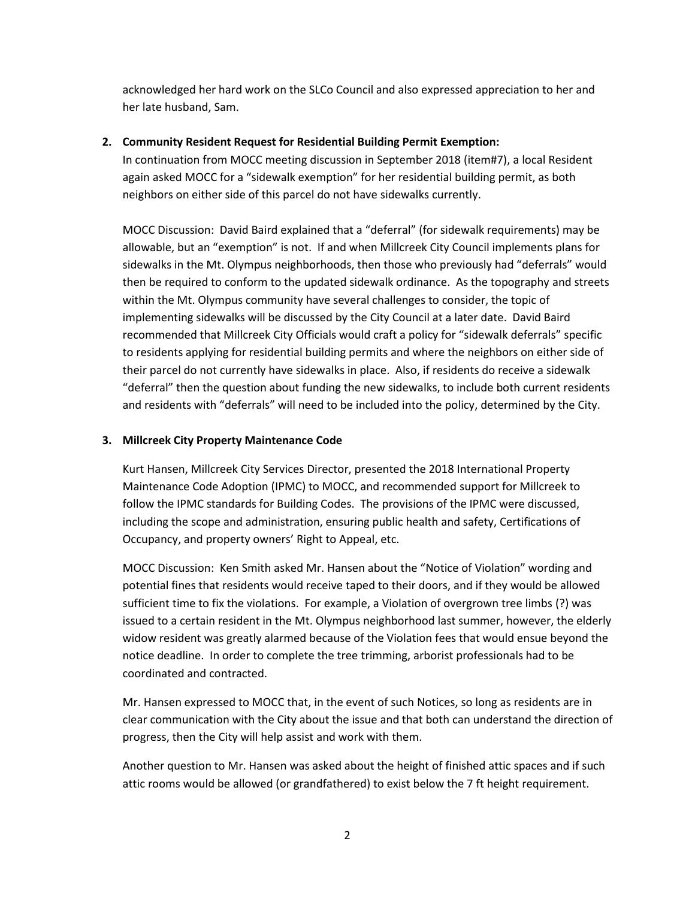acknowledged her hard work on the SLCo Council and also expressed appreciation to her and her late husband, Sam.

#### **2. Community Resident Request for Residential Building Permit Exemption:**

In continuation from MOCC meeting discussion in September 2018 (item#7), a local Resident again asked MOCC for a "sidewalk exemption" for her residential building permit, as both neighbors on either side of this parcel do not have sidewalks currently.

MOCC Discussion: David Baird explained that a "deferral" (for sidewalk requirements) may be allowable, but an "exemption" is not. If and when Millcreek City Council implements plans for sidewalks in the Mt. Olympus neighborhoods, then those who previously had "deferrals" would then be required to conform to the updated sidewalk ordinance. As the topography and streets within the Mt. Olympus community have several challenges to consider, the topic of implementing sidewalks will be discussed by the City Council at a later date. David Baird recommended that Millcreek City Officials would craft a policy for "sidewalk deferrals" specific to residents applying for residential building permits and where the neighbors on either side of their parcel do not currently have sidewalks in place. Also, if residents do receive a sidewalk "deferral" then the question about funding the new sidewalks, to include both current residents and residents with "deferrals" will need to be included into the policy, determined by the City.

#### **3. Millcreek City Property Maintenance Code**

Kurt Hansen, Millcreek City Services Director, presented the 2018 International Property Maintenance Code Adoption (IPMC) to MOCC, and recommended support for Millcreek to follow the IPMC standards for Building Codes. The provisions of the IPMC were discussed, including the scope and administration, ensuring public health and safety, Certifications of Occupancy, and property owners' Right to Appeal, etc.

MOCC Discussion: Ken Smith asked Mr. Hansen about the "Notice of Violation" wording and potential fines that residents would receive taped to their doors, and if they would be allowed sufficient time to fix the violations. For example, a Violation of overgrown tree limbs (?) was issued to a certain resident in the Mt. Olympus neighborhood last summer, however, the elderly widow resident was greatly alarmed because of the Violation fees that would ensue beyond the notice deadline. In order to complete the tree trimming, arborist professionals had to be coordinated and contracted.

Mr. Hansen expressed to MOCC that, in the event of such Notices, so long as residents are in clear communication with the City about the issue and that both can understand the direction of progress, then the City will help assist and work with them.

Another question to Mr. Hansen was asked about the height of finished attic spaces and if such attic rooms would be allowed (or grandfathered) to exist below the 7 ft height requirement.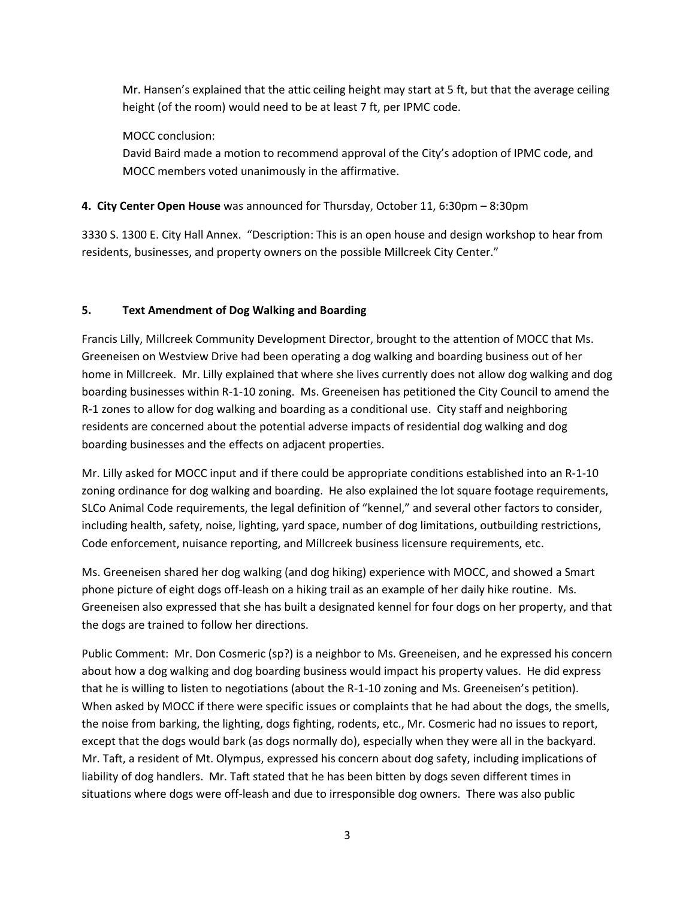Mr. Hansen's explained that the attic ceiling height may start at 5 ft, but that the average ceiling height (of the room) would need to be at least 7 ft, per IPMC code.

MOCC conclusion:

David Baird made a motion to recommend approval of the City's adoption of IPMC code, and MOCC members voted unanimously in the affirmative.

## **4. City Center Open House** was announced for Thursday, October 11, 6:30pm – 8:30pm

3330 S. 1300 E. City Hall Annex. "Description: This is an open house and design workshop to hear from residents, businesses, and property owners on the possible Millcreek City Center."

## **5. Text Amendment of Dog Walking and Boarding**

Francis Lilly, Millcreek Community Development Director, brought to the attention of MOCC that Ms. Greeneisen on Westview Drive had been operating a dog walking and boarding business out of her home in Millcreek. Mr. Lilly explained that where she lives currently does not allow dog walking and dog boarding businesses within R-1-10 zoning. Ms. Greeneisen has petitioned the City Council to amend the R-1 zones to allow for dog walking and boarding as a conditional use. City staff and neighboring residents are concerned about the potential adverse impacts of residential dog walking and dog boarding businesses and the effects on adjacent properties.

Mr. Lilly asked for MOCC input and if there could be appropriate conditions established into an R-1-10 zoning ordinance for dog walking and boarding. He also explained the lot square footage requirements, SLCo Animal Code requirements, the legal definition of "kennel," and several other factors to consider, including health, safety, noise, lighting, yard space, number of dog limitations, outbuilding restrictions, Code enforcement, nuisance reporting, and Millcreek business licensure requirements, etc.

Ms. Greeneisen shared her dog walking (and dog hiking) experience with MOCC, and showed a Smart phone picture of eight dogs off-leash on a hiking trail as an example of her daily hike routine. Ms. Greeneisen also expressed that she has built a designated kennel for four dogs on her property, and that the dogs are trained to follow her directions.

Public Comment: Mr. Don Cosmeric (sp?) is a neighbor to Ms. Greeneisen, and he expressed his concern about how a dog walking and dog boarding business would impact his property values. He did express that he is willing to listen to negotiations (about the R-1-10 zoning and Ms. Greeneisen's petition). When asked by MOCC if there were specific issues or complaints that he had about the dogs, the smells, the noise from barking, the lighting, dogs fighting, rodents, etc., Mr. Cosmeric had no issues to report, except that the dogs would bark (as dogs normally do), especially when they were all in the backyard. Mr. Taft, a resident of Mt. Olympus, expressed his concern about dog safety, including implications of liability of dog handlers. Mr. Taft stated that he has been bitten by dogs seven different times in situations where dogs were off-leash and due to irresponsible dog owners. There was also public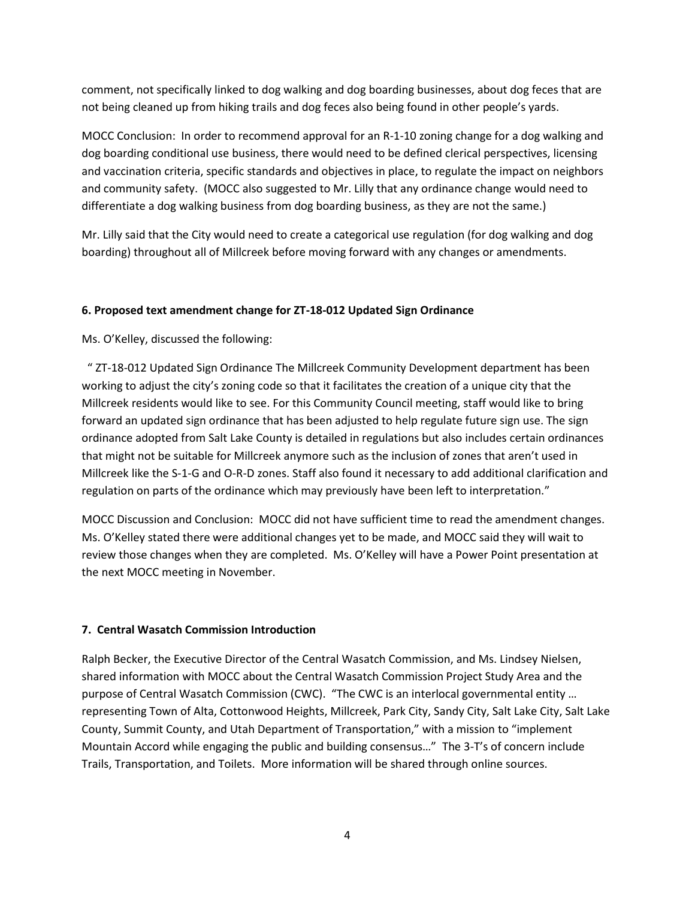comment, not specifically linked to dog walking and dog boarding businesses, about dog feces that are not being cleaned up from hiking trails and dog feces also being found in other people's yards.

MOCC Conclusion: In order to recommend approval for an R-1-10 zoning change for a dog walking and dog boarding conditional use business, there would need to be defined clerical perspectives, licensing and vaccination criteria, specific standards and objectives in place, to regulate the impact on neighbors and community safety. (MOCC also suggested to Mr. Lilly that any ordinance change would need to differentiate a dog walking business from dog boarding business, as they are not the same.)

Mr. Lilly said that the City would need to create a categorical use regulation (for dog walking and dog boarding) throughout all of Millcreek before moving forward with any changes or amendments.

## **6. Proposed text amendment change for ZT-18-012 Updated Sign Ordinance**

Ms. O'Kelley, discussed the following:

 " ZT-18-012 Updated Sign Ordinance The Millcreek Community Development department has been working to adjust the city's zoning code so that it facilitates the creation of a unique city that the Millcreek residents would like to see. For this Community Council meeting, staff would like to bring forward an updated sign ordinance that has been adjusted to help regulate future sign use. The sign ordinance adopted from Salt Lake County is detailed in regulations but also includes certain ordinances that might not be suitable for Millcreek anymore such as the inclusion of zones that aren't used in Millcreek like the S-1-G and O-R-D zones. Staff also found it necessary to add additional clarification and regulation on parts of the ordinance which may previously have been left to interpretation."

MOCC Discussion and Conclusion: MOCC did not have sufficient time to read the amendment changes. Ms. O'Kelley stated there were additional changes yet to be made, and MOCC said they will wait to review those changes when they are completed. Ms. O'Kelley will have a Power Point presentation at the next MOCC meeting in November.

## **7. Central Wasatch Commission Introduction**

Ralph Becker, the Executive Director of the Central Wasatch Commission, and Ms. Lindsey Nielsen, shared information with MOCC about the Central Wasatch Commission Project Study Area and the purpose of Central Wasatch Commission (CWC). "The CWC is an interlocal governmental entity … representing Town of Alta, Cottonwood Heights, Millcreek, Park City, Sandy City, Salt Lake City, Salt Lake County, Summit County, and Utah Department of Transportation," with a mission to "implement Mountain Accord while engaging the public and building consensus…" The 3-T's of concern include Trails, Transportation, and Toilets. More information will be shared through online sources.